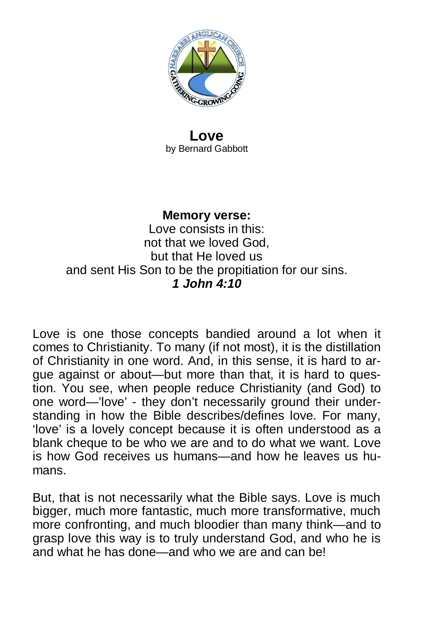

#### **Love** by Bernard Gabbott

## **Memory verse:**

Love consists in this: not that we loved God, but that He loved us and sent His Son to be the propitiation for our sins. *1 John 4:10*

Love is one those concepts bandied around a lot when it comes to Christianity. To many (if not most), it is the distillation of Christianity in one word. And, in this sense, it is hard to argue against or about—but more than that, it is hard to question. You see, when people reduce Christianity (and God) to one word—'love' - they don't necessarily ground their understanding in how the Bible describes/defines love. For many, 'love' is a lovely concept because it is often understood as a blank cheque to be who we are and to do what we want. Love is how God receives us humans—and how he leaves us humans.

But, that is not necessarily what the Bible says. Love is much bigger, much more fantastic, much more transformative, much more confronting, and much bloodier than many think—and to grasp love this way is to truly understand God, and who he is and what he has done—and who we are and can be!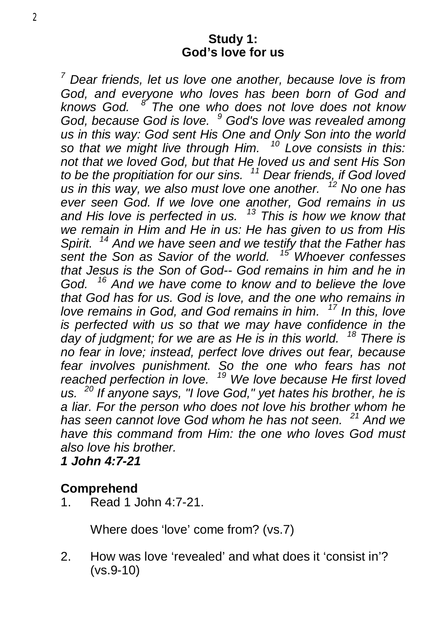#### **Study 1: God's love for us**

*<sup>7</sup> Dear friends, let us love one another, because love is from God, and everyone who loves has been born of God and knows God. <sup>8</sup> The one who does not love does not know God, because God is love. <sup>9</sup> God's love was revealed among us in this way: God sent His One and Only Son into the world so that we might live through Him. <sup>10</sup> Love consists in this: not that we loved God, but that He loved us and sent His Son to be the propitiation for our sins. <sup>11</sup> Dear friends, if God loved us in this way, we also must love one another. <sup>12</sup> No one has ever seen God. If we love one another, God remains in us and His love is perfected in us. <sup>13</sup> This is how we know that we remain in Him and He in us: He has given to us from His Spirit. <sup>14</sup> And we have seen and we testify that the Father has sent the Son as Savior of the world. <sup>15</sup> Whoever confesses that Jesus is the Son of God-- God remains in him and he in God. <sup>16</sup> And we have come to know and to believe the love that God has for us. God is love, and the one who remains in love remains in God, and God remains in him. <sup>17</sup> In this, love is perfected with us so that we may have confidence in the day of judgment; for we are as He is in this world. <sup>18</sup> There is no fear in love; instead, perfect love drives out fear, because fear involves punishment. So the one who fears has not reached perfection in love. <sup>19</sup> We love because He first loved us. <sup>20</sup> If anyone says, "I love God," yet hates his brother, he is a liar. For the person who does not love his brother whom he has seen cannot love God whom he has not seen. <sup>21</sup> And we have this command from Him: the one who loves God must also love his brother.* 

*1 John 4:7-21* 

# **Comprehend**

1. Read 1 John 4:7-21.

Where does 'love' come from? (vs.7)

2. How was love 'revealed' and what does it 'consist in'? (vs.9-10)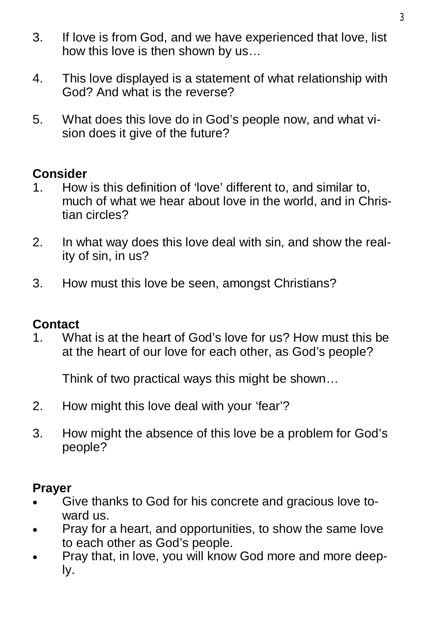- 3. If love is from God, and we have experienced that love, list how this love is then shown by us…
- 4. This love displayed is a statement of what relationship with God? And what is the reverse?
- 5. What does this love do in God's people now, and what vision does it give of the future?

# **Consider**

- 1. How is this definition of 'love' different to, and similar to, much of what we hear about love in the world, and in Christian circles?
- 2. In what way does this love deal with sin, and show the reality of sin, in us?
- 3. How must this love be seen, amongst Christians?

### **Contact**

1. What is at the heart of God's love for us? How must this be at the heart of our love for each other, as God's people?

Think of two practical ways this might be shown…

- 2. How might this love deal with your 'fear'?
- 3. How might the absence of this love be a problem for God's people?

- Give thanks to God for his concrete and gracious love toward us.
- Pray for a heart, and opportunities, to show the same love to each other as God's people.
- Pray that, in love, you will know God more and more deeply.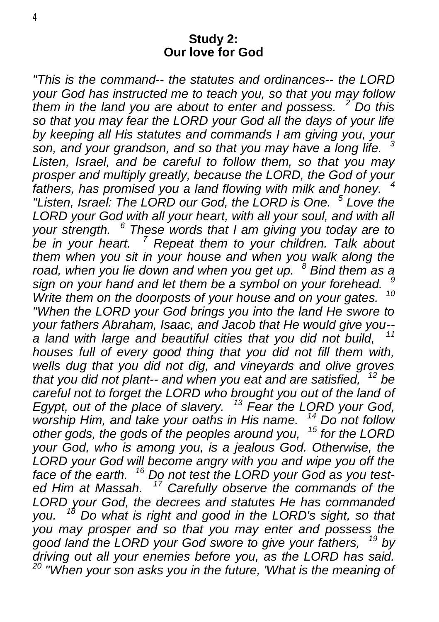#### **Study 2: Our love for God**

*"This is the command-- the statutes and ordinances-- the LORD your God has instructed me to teach you, so that you may follow them in the land you are about to enter and possess. <sup>2</sup> Do this so that you may fear the LORD your God all the days of your life by keeping all His statutes and commands I am giving you, your son, and your grandson, and so that you may have a long life. <sup>3</sup> Listen, Israel, and be careful to follow them, so that you may prosper and multiply greatly, because the LORD, the God of your fathers, has promised you a land flowing with milk and honey. <sup>4</sup> "Listen, Israel: The LORD our God, the LORD is One. <sup>5</sup> Love the LORD your God with all your heart, with all your soul, and with all your strength. <sup>6</sup> These words that I am giving you today are to be in your heart. <sup>7</sup> Repeat them to your children. Talk about them when you sit in your house and when you walk along the road, when you lie down and when you get up. <sup>8</sup> Bind them as a sign on your hand and let them be a symbol on your forehead. <sup>9</sup>* Write them on the doorposts of your house and on your gates. *"When the LORD your God brings you into the land He swore to your fathers Abraham, Isaac, and Jacob that He would give you- a land with large and beautiful cities that you did not build, <sup>11</sup> houses full of every good thing that you did not fill them with, wells dug that you did not dig, and vineyards and olive groves that you did not plant-- and when you eat and are satisfied, <sup>12</sup> be*  careful not to forget the LORD who brought you out of the land of *Egypt, out of the place of slavery. <sup>13</sup> Fear the LORD your God, worship Him, and take your oaths in His name. <sup>14</sup> Do not follow other gods, the gods of the peoples around you, <sup>15</sup> for the LORD your God, who is among you, is a jealous God. Otherwise, the LORD your God will become angry with you and wipe you off the face of the earth. <sup>16</sup> Do not test the LORD your God as you tested Him at Massah. <sup>17</sup> Carefully observe the commands of the LORD your God, the decrees and statutes He has commanded you. <sup>18</sup> Do what is right and good in the LORD's sight, so that you may prosper and so that you may enter and possess the good land the LORD your God swore to give your fathers, <sup>19</sup> by driving out all your enemies before you, as the LORD has said. <sup>20</sup> "When your son asks you in the future, 'What is the meaning of*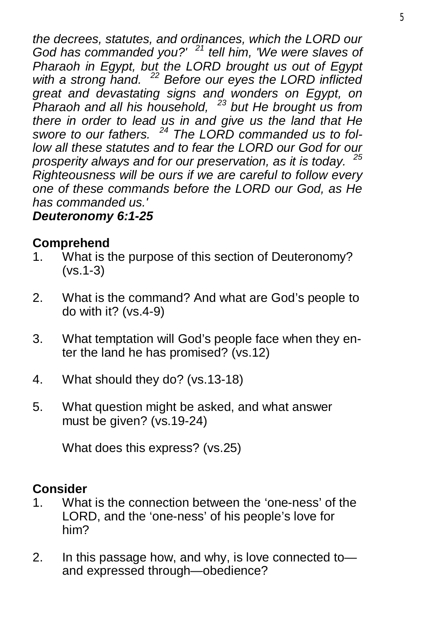*the decrees, statutes, and ordinances, which the LORD our God has commanded you?' <sup>21</sup> tell him, 'We were slaves of Pharaoh in Egypt, but the LORD brought us out of Egypt with a strong hand. <sup>22</sup> Before our eyes the LORD inflicted great and devastating signs and wonders on Egypt, on Pharaoh and all his household, <sup>23</sup> but He brought us from there in order to lead us in and give us the land that He swore to our fathers. <sup>24</sup> The LORD commanded us to follow all these statutes and to fear the LORD our God for our prosperity always and for our preservation, as it is today. <sup>25</sup> Righteousness will be ours if we are careful to follow every one of these commands before the LORD our God, as He has commanded us.'* 

# *Deuteronomy 6:1-25*

# **Comprehend**

- 1. What is the purpose of this section of Deuteronomy? (vs.1-3)
- 2. What is the command? And what are God's people to do with it? (vs.4-9)
- 3. What temptation will God's people face when they enter the land he has promised? (vs.12)
- 4. What should they do? (vs.13-18)
- 5. What question might be asked, and what answer must be given? (vs.19-24)

What does this express? (vs.25)

# **Consider**

- 1. What is the connection between the 'one-ness' of the LORD, and the 'one-ness' of his people's love for him?
- 2. In this passage how, and why, is love connected to and expressed through—obedience?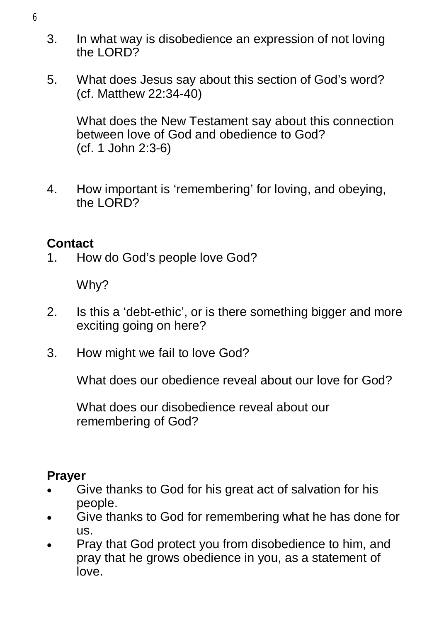- 3. In what way is disobedience an expression of not loving the LORD?
- 5. What does Jesus say about this section of God's word? (cf. Matthew 22:34-40)

What does the New Testament say about this connection between love of God and obedience to God? (cf. 1 John 2:3-6)

4. How important is 'remembering' for loving, and obeying, the LORD?

# **Contact**

1. How do God's people love God?

Why?

- 2. Is this a 'debt-ethic', or is there something bigger and more exciting going on here?
- 3. How might we fail to love God?

What does our obedience reveal about our love for God?

What does our disobedience reveal about our remembering of God?

- Give thanks to God for his great act of salvation for his people.
- Give thanks to God for remembering what he has done for us.
- Pray that God protect you from disobedience to him, and pray that he grows obedience in you, as a statement of love.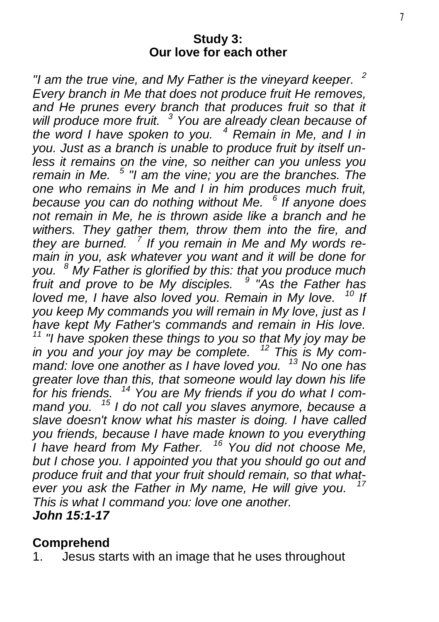#### **Study 3: Our love for each other**

*"I am the true vine, and My Father is the vineyard keeper. <sup>2</sup> Every branch in Me that does not produce fruit He removes, and He prunes every branch that produces fruit so that it will produce more fruit. <sup>3</sup> You are already clean because of the word I have spoken to you. <sup>4</sup> Remain in Me, and I in you. Just as a branch is unable to produce fruit by itself unless it remains on the vine, so neither can you unless you remain in Me. <sup>5</sup> "I am the vine; you are the branches. The one who remains in Me and I in him produces much fruit, because you can do nothing without Me. <sup>6</sup> If anyone does not remain in Me, he is thrown aside like a branch and he withers. They gather them, throw them into the fire, and they are burned. <sup>7</sup> If you remain in Me and My words remain in you, ask whatever you want and it will be done for you. <sup>8</sup> My Father is glorified by this: that you produce much fruit and prove to be My disciples. <sup>9</sup> "As the Father has loved me, I have also loved you. Remain in My love. <sup>10</sup> If you keep My commands you will remain in My love, just as I have kept My Father's commands and remain in His love. <sup>11</sup> "I have spoken these things to you so that My joy may be in you and your joy may be complete. <sup>12</sup> This is My command: love one another as I have loved you. <sup>13</sup> No one has greater love than this, that someone would lay down his life for his friends. <sup>14</sup> You are My friends if you do what I command you. <sup>15</sup> I do not call you slaves anymore, because a slave doesn't know what his master is doing. I have called you friends, because I have made known to you everything I have heard from My Father. <sup>16</sup> You did not choose Me, but I chose you. I appointed you that you should go out and produce fruit and that your fruit should remain, so that whatever you ask the Father in My name, He will give you. This is what I command you: love one another. John 15:1-17* 

### **Comprehend**

1. Jesus starts with an image that he uses throughout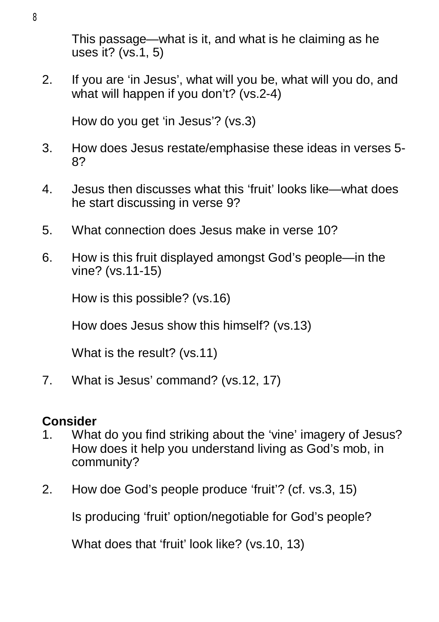This passage—what is it, and what is he claiming as he uses it? (vs.1, 5)

2. If you are 'in Jesus', what will you be, what will you do, and what will happen if you don't? (vs.2-4)

How do you get 'in Jesus'? (vs.3)

- 3. How does Jesus restate/emphasise these ideas in verses 5- 8?
- 4. Jesus then discusses what this 'fruit' looks like—what does he start discussing in verse 9?
- 5. What connection does Jesus make in verse 10?
- 6. How is this fruit displayed amongst God's people—in the vine? (vs.11-15)

How is this possible? (vs.16)

How does Jesus show this himself? (vs.13)

What is the result? (vs.11)

7. What is Jesus' command? (vs.12, 17)

# **Consider**

- 1. What do you find striking about the 'vine' imagery of Jesus? How does it help you understand living as God's mob, in community?
- 2. How doe God's people produce 'fruit'? (cf. vs.3, 15)

Is producing 'fruit' option/negotiable for God's people?

What does that 'fruit' look like? (vs.10, 13)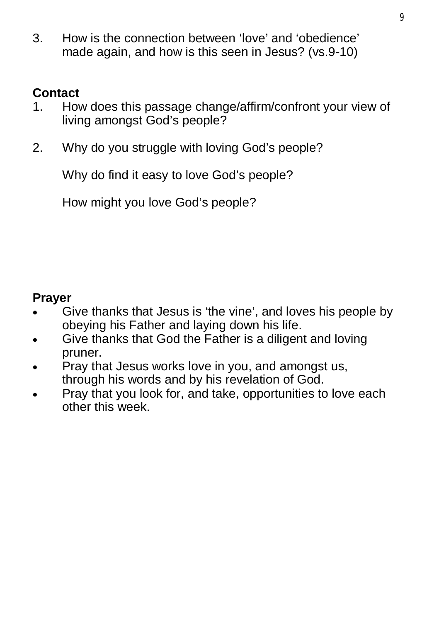3. How is the connection between 'love' and 'obedience' made again, and how is this seen in Jesus? (vs.9-10)

## **Contact**

- 1. How does this passage change/affirm/confront your view of living amongst God's people?
- 2. Why do you struggle with loving God's people?

Why do find it easy to love God's people?

How might you love God's people?

- Give thanks that Jesus is 'the vine', and loves his people by obeying his Father and laying down his life.
- Give thanks that God the Father is a diligent and loving pruner.
- Pray that Jesus works love in you, and amongst us, through his words and by his revelation of God.
- Pray that you look for, and take, opportunities to love each other this week.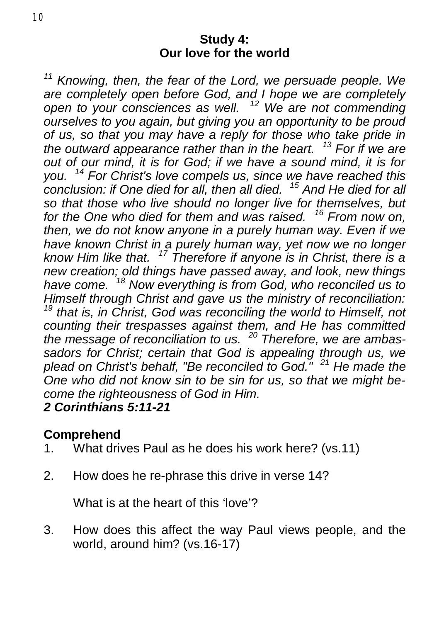#### **Study 4: Our love for the world**

*<sup>11</sup> Knowing, then, the fear of the Lord, we persuade people. We are completely open before God, and I hope we are completely open to your consciences as well. <sup>12</sup> We are not commending ourselves to you again, but giving you an opportunity to be proud of us, so that you may have a reply for those who take pride in the outward appearance rather than in the heart. <sup>13</sup> For if we are out of our mind, it is for God; if we have a sound mind, it is for you. <sup>14</sup> For Christ's love compels us, since we have reached this conclusion: if One died for all, then all died. <sup>15</sup> And He died for all so that those who live should no longer live for themselves, but for the One who died for them and was raised. <sup>16</sup> From now on, then, we do not know anyone in a purely human way. Even if we have known Christ in a purely human way, yet now we no longer know Him like that. <sup>17</sup> Therefore if anyone is in Christ, there is a new creation; old things have passed away, and look, new things have come. <sup>18</sup> Now everything is from God, who reconciled us to Himself through Christ and gave us the ministry of reconciliation: <sup>19</sup> that is, in Christ, God was reconciling the world to Himself, not counting their trespasses against them, and He has committed the message of reconciliation to us. <sup>20</sup> Therefore, we are ambassadors for Christ; certain that God is appealing through us, we plead on Christ's behalf, "Be reconciled to God." <sup>21</sup> He made the One who did not know sin to be sin for us, so that we might become the righteousness of God in Him.* 

# *2 Corinthians 5:11-21*

### **Comprehend**

- 1. What drives Paul as he does his work here? (vs.11)
- 2. How does he re-phrase this drive in verse 14?

What is at the heart of this 'love'?

3. How does this affect the way Paul views people, and the world, around him? (vs.16-17)